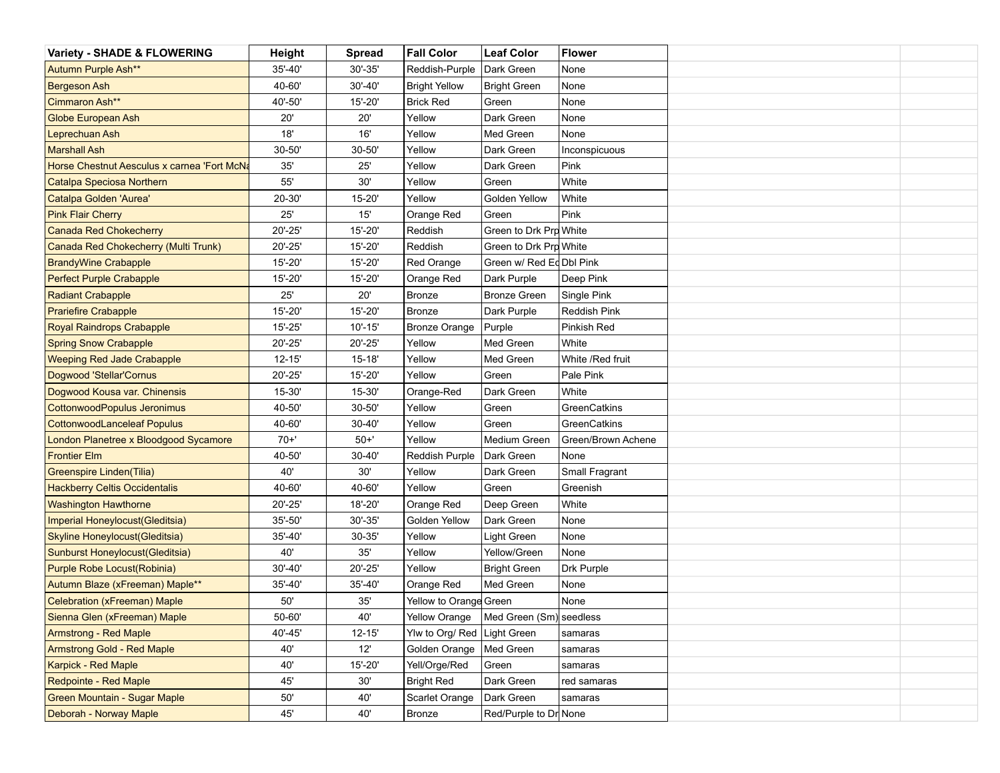| <b>Variety - SHADE &amp; FLOWERING</b>      | Height      | <b>Spread</b> | <b>Fall Color</b>             | <b>Leaf Color</b>        | Flower             |  |
|---------------------------------------------|-------------|---------------|-------------------------------|--------------------------|--------------------|--|
| Autumn Purple Ash**                         | 35'-40'     | 30'-35'       | Reddish-Purple                | Dark Green               | None               |  |
| <b>Bergeson Ash</b>                         | 40-60'      | 30'-40'       | <b>Bright Yellow</b>          | Bright Green             | None               |  |
| Cimmaron Ash**                              | 40'-50'     | 15'-20'       | <b>Brick Red</b>              | Green                    | None               |  |
| Globe European Ash                          | 20'         | 20'           | Yellow                        | Dark Green               | None               |  |
| Leprechuan Ash                              | 18'         | 16'           | Yellow                        | Med Green                | None               |  |
| <b>Marshall Ash</b>                         | 30-50'      | $30 - 50'$    | Yellow                        | Dark Green               | Inconspicuous      |  |
| Horse Chestnut Aesculus x carnea 'Fort McNa | 35'         | 25'           | Yellow                        | Dark Green               | Pink               |  |
| Catalpa Speciosa Northern                   | 55'         | 30'           | Yellow                        | Green                    | White              |  |
| Catalpa Golden 'Aurea'                      | 20-30'      | $15 - 20'$    | Yellow                        | Golden Yellow            | White              |  |
| <b>Pink Flair Cherry</b>                    | 25'         | $15'$         | Orange Red                    | Green                    | Pink               |  |
| <b>Canada Red Chokecherry</b>               | 20'-25'     | 15'-20'       | Reddish                       | Green to Drk Prp White   |                    |  |
| Canada Red Chokecherry (Multi Trunk)        | 20'-25'     | 15'-20'       | Reddish                       | Green to Drk Prp White   |                    |  |
| <b>BrandyWine Crabapple</b>                 | 15'-20'     | 15'-20'       | Red Orange                    | Green w/ Red Ed Dbl Pink |                    |  |
| Perfect Purple Crabapple                    | 15'-20'     | 15'-20'       | Orange Red                    | Dark Purple              | Deep Pink          |  |
| <b>Radiant Crabapple</b>                    | 25'         | 20'           | <b>Bronze</b>                 | <b>Bronze Green</b>      | Single Pink        |  |
| <b>Prariefire Crabapple</b>                 | 15'-20'     | 15'-20'       | Bronze                        | Dark Purple              | Reddish Pink       |  |
| <b>Royal Raindrops Crabapple</b>            | $15 - 25'$  | $10' - 15'$   | Bronze Orange                 | Purple                   | Pinkish Red        |  |
| <b>Spring Snow Crabapple</b>                | 20'-25'     | 20'-25'       | Yellow                        | Med Green                | White              |  |
| <b>Weeping Red Jade Crabapple</b>           | $12 - 15'$  | $15 - 18'$    | Yellow                        | Med Green                | White /Red fruit   |  |
| Dogwood 'Stellar'Cornus                     | 20'-25'     | 15'-20'       | Yellow                        | Green                    | Pale Pink          |  |
| Dogwood Kousa var. Chinensis                | 15-30'      | $15 - 30'$    | Orange-Red                    | Dark Green               | White              |  |
| CottonwoodPopulus Jeronimus                 | 40-50'      | 30-50'        | Yellow                        | Green                    | GreenCatkins       |  |
| <b>CottonwoodLanceleaf Populus</b>          | 40-60'      | $30 - 40'$    | Yellow                        | Green                    | GreenCatkins       |  |
| London Planetree x Bloodgood Sycamore       | $70+1$      | $50+$         | Yellow                        | Medium Green             | Green/Brown Achene |  |
| <b>Frontier Elm</b>                         | 40-50'      | $30 - 40'$    | Reddish Purple                | Dark Green               | None               |  |
| Greenspire Linden(Tilia)                    | 40'         | $30'$         | Yellow                        | Dark Green               | Small Fragrant     |  |
| <b>Hackberry Celtis Occidentalis</b>        | 40-60'      | 40-60'        | Yellow                        | Green                    | Greenish           |  |
| <b>Washington Hawthorne</b>                 | 20'-25'     | 18'-20'       | Orange Red                    | Deep Green               | White              |  |
| Imperial Honeylocust(Gleditsia)             | 35'-50'     | 30'-35'       | Golden Yellow                 | Dark Green               | None               |  |
| Skyline Honeylocust(Gleditsia)              | 35'-40'     | 30-35'        | Yellow                        | Light Green              | None               |  |
| Sunburst Honeylocust(Gleditsia)             | 40'         | 35'           | Yellow                        | Yellow/Green             | None               |  |
| Purple Robe Locust(Robinia)                 | $30' - 40'$ | 20'-25'       | Yellow                        | <b>Bright Green</b>      | Drk Purple         |  |
| Autumn Blaze (xFreeman) Maple**             | 35'-40'     | 35'-40'       | Orange Red                    | Med Green                | None               |  |
| Celebration (xFreeman) Maple                | 50'         | 35'           | Yellow to Orange Green        |                          | None               |  |
| Sienna Glen (xFreeman) Maple                | 50-60'      | 40'           | Yellow Orange                 | Med Green (Sm) seedless  |                    |  |
| Armstrong - Red Maple                       | 40'-45'     | $12 - 15'$    | Ylw to Org/ Red   Light Green |                          | samaras            |  |
| <b>Armstrong Gold - Red Maple</b>           | 40'         | 12'           | Golden Orange                 | Med Green                | samaras            |  |
| <b>Karpick - Red Maple</b>                  | 40'         | 15'-20'       | Yell/Orge/Red                 | Green                    | samaras            |  |
| Redpointe - Red Maple                       | 45'         | 30'           | <b>Bright Red</b>             | Dark Green               | red samaras        |  |
| Green Mountain - Sugar Maple                | 50'         | 40'           | Scarlet Orange                | Dark Green               | samaras            |  |
| Deborah - Norway Maple                      | 45'         | 40'           | Bronze                        | Red/Purple to Dr None    |                    |  |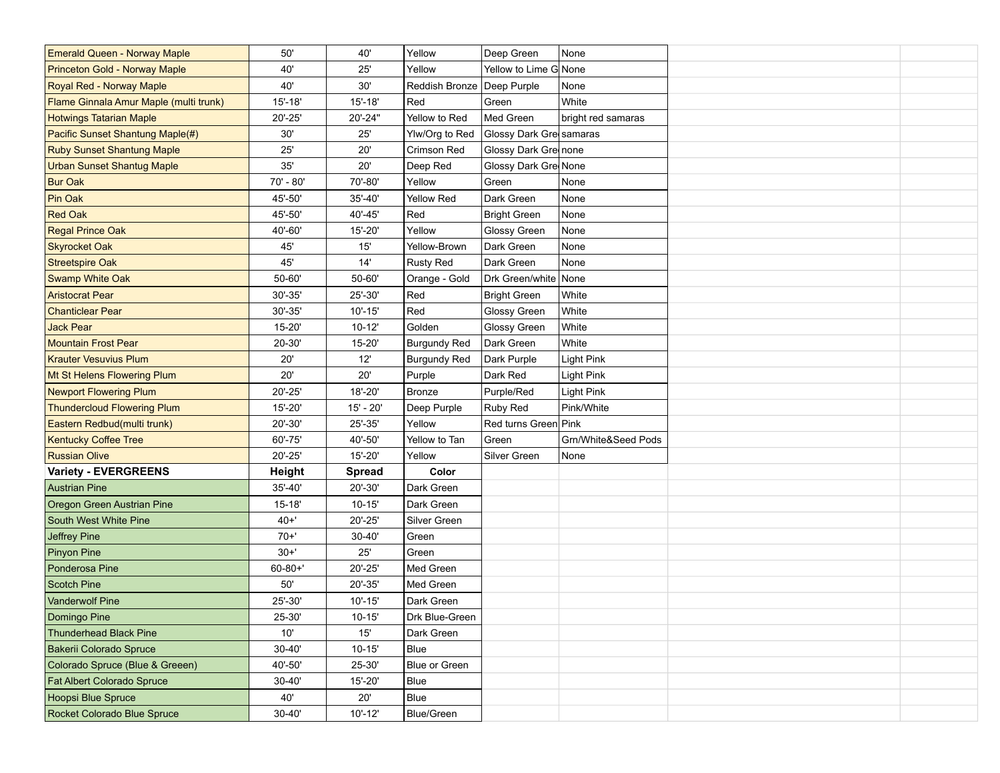| <b>Emerald Queen - Norway Maple</b>    | 50'         | 40'           | Yellow                       | Deep Green              | None                |  |
|----------------------------------------|-------------|---------------|------------------------------|-------------------------|---------------------|--|
| Princeton Gold - Norway Maple          | 40'         | 25'           | Yellow                       | Yellow to Lime G None   |                     |  |
| <b>Royal Red - Norway Maple</b>        | 40'         | 30'           | Reddish Bronze   Deep Purple |                         | None                |  |
| Flame Ginnala Amur Maple (multi trunk) | $15' - 18'$ | $15' - 18'$   | Red                          | Green                   | White               |  |
| <b>Hotwings Tatarian Maple</b>         | 20'-25'     | 20'-24"       | Yellow to Red                | Med Green               | bright red samaras  |  |
| Pacific Sunset Shantung Maple(#)       | 30'         | 25'           | Ylw/Org to Red               | Glossy Dark Gre samaras |                     |  |
| <b>Ruby Sunset Shantung Maple</b>      | 25'         | 20'           | Crimson Red                  | Glossy Dark Gre none    |                     |  |
| <b>Urban Sunset Shantug Maple</b>      | 35'         | 20'           | Deep Red                     | Glossy Dark Gre None    |                     |  |
| <b>Bur Oak</b>                         | 70' - 80'   | 70'-80'       | Yellow                       | Green                   | None                |  |
| Pin Oak                                | 45'-50'     | 35'-40'       | Yellow Red                   | Dark Green              | None                |  |
| <b>Red Oak</b>                         | 45'-50'     | 40'-45'       | Red                          | <b>Bright Green</b>     | None                |  |
| Regal Prince Oak                       | 40'-60'     | 15'-20'       | Yellow                       | <b>Glossy Green</b>     | None                |  |
| <b>Skyrocket Oak</b>                   | 45'         | 15'           | Yellow-Brown                 | Dark Green              | None                |  |
| Streetspire Oak                        | 45'         | 14'           | Rusty Red                    | Dark Green              | None                |  |
| Swamp White Oak                        | 50-60'      | 50-60'        | Orange - Gold                | Drk Green/white None    |                     |  |
| <b>Aristocrat Pear</b>                 | 30'-35'     | 25'-30'       | Red                          | <b>Bright Green</b>     | White               |  |
| <b>Chanticlear Pear</b>                | 30'-35'     | $10' - 15'$   | Red                          | Glossy Green            | White               |  |
| <b>Jack Pear</b>                       | $15 - 20'$  | $10-12'$      | Golden                       | Glossy Green            | White               |  |
| Mountain Frost Pear                    | 20-30'      | 15-20'        | <b>Burgundy Red</b>          | Dark Green              | White               |  |
| <b>Krauter Vesuvius Plum</b>           | 20'         | 12'           | <b>Burgundy Red</b>          | Dark Purple             | Light Pink          |  |
| Mt St Helens Flowering Plum            | 20'         | 20'           | Purple                       | Dark Red                | Light Pink          |  |
| Newport Flowering Plum                 | 20'-25'     | 18'-20'       | <b>Bronze</b>                | Purple/Red              | Light Pink          |  |
| <b>Thundercloud Flowering Plum</b>     | 15'-20'     | 15' - 20'     | Deep Purple                  | Ruby Red                | Pink/White          |  |
| Eastern Redbud(multi trunk)            | 20'-30'     | 25'-35'       | Yellow                       | Red turns Green Pink    |                     |  |
| <b>Kentucky Coffee Tree</b>            | 60'-75'     | 40'-50'       | Yellow to Tan                | Green                   | Grn/White&Seed Pods |  |
| <b>Russian Olive</b>                   | 20'-25'     | $15' - 20'$   | Yellow                       | Silver Green            | None                |  |
| <b>Variety - EVERGREENS</b>            | Height      | <b>Spread</b> | Color                        |                         |                     |  |
| Austrian Pine                          | 35'-40'     | 20'-30'       | Dark Green                   |                         |                     |  |
| Oregon Green Austrian Pine             | $15 - 18'$  | $10-15'$      | Dark Green                   |                         |                     |  |
| South West White Pine                  | $40 + '$    | 20'-25'       | Silver Green                 |                         |                     |  |
| Jeffrey Pine                           | $70+1$      | $30 - 40'$    | Green                        |                         |                     |  |
| Pinyon Pine                            | $30+1$      | 25'           | Green                        |                         |                     |  |
| Ponderosa Pine                         | $60 - 80 +$ | 20'-25'       | Med Green                    |                         |                     |  |
| Scotch Pine                            | 50'         | 20'-35'       | Med Green                    |                         |                     |  |
| <b>Vanderwolf Pine</b>                 | 25'-30'     | $10' - 15'$   | Dark Green                   |                         |                     |  |
| Domingo Pine                           | 25-30'      | $10 - 15'$    | Drk Blue-Green               |                         |                     |  |
| Thunderhead Black Pine                 | 10'         | 15'           | Dark Green                   |                         |                     |  |
| Bakerii Colorado Spruce                | $30 - 40'$  | $10 - 15'$    | Blue                         |                         |                     |  |
| Colorado Spruce (Blue & Greeen)        | 40'-50'     | 25-30'        | Blue or Green                |                         |                     |  |
| <b>Fat Albert Colorado Spruce</b>      | $30 - 40'$  | 15'-20'       | Blue                         |                         |                     |  |
| Hoopsi Blue Spruce                     | 40'         | 20'           | Blue                         |                         |                     |  |
| Rocket Colorado Blue Spruce            | $30 - 40'$  | $10' - 12'$   | Blue/Green                   |                         |                     |  |